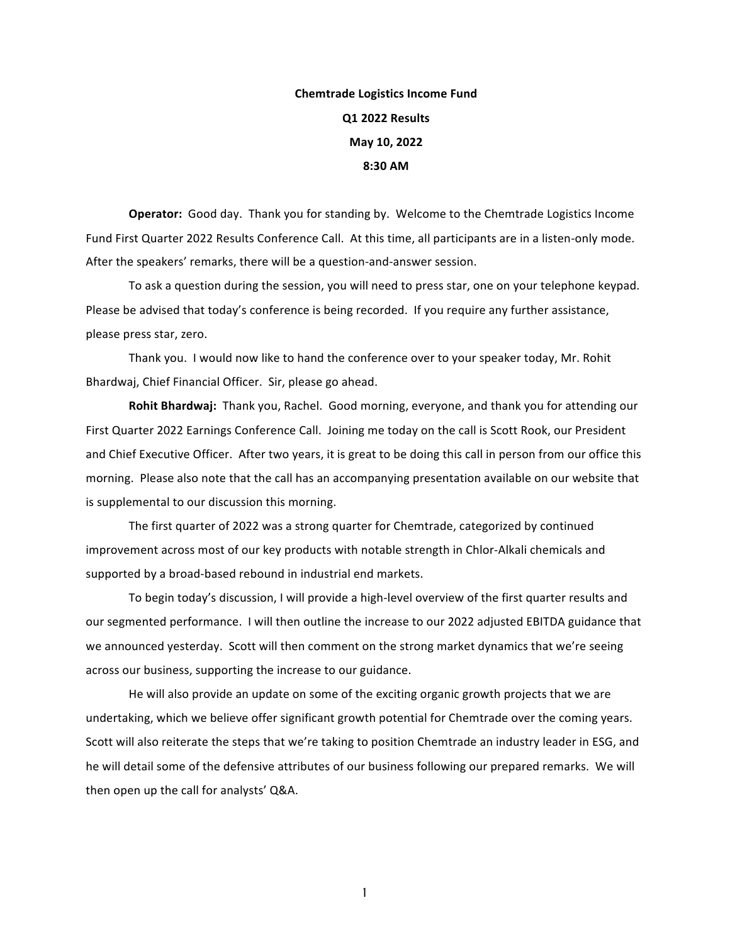## **Chemtrade Logistics Income Fund Q1 2022 Results May 10, 2022 8:30 AM**

**Operator:** Good day. Thank you for standing by. Welcome to the Chemtrade Logistics Income Fund First Quarter 2022 Results Conference Call. At this time, all participants are in a listen-only mode. After the speakers' remarks, there will be a question-and-answer session.

To ask a question during the session, you will need to press star, one on your telephone keypad. Please be advised that today's conference is being recorded. If you require any further assistance, please press star, zero.

Thank you. I would now like to hand the conference over to your speaker today, Mr. Rohit Bhardwaj, Chief Financial Officer. Sir, please go ahead.

**Rohit Bhardwaj:** Thank you, Rachel. Good morning, everyone, and thank you for attending our First Quarter 2022 Earnings Conference Call. Joining me today on the call is Scott Rook, our President and Chief Executive Officer. After two years, it is great to be doing this call in person from our office this morning. Please also note that the call has an accompanying presentation available on our website that is supplemental to our discussion this morning.

The first quarter of 2022 was a strong quarter for Chemtrade, categorized by continued improvement across most of our key products with notable strength in Chlor-Alkali chemicals and supported by a broad-based rebound in industrial end markets.

To begin today's discussion, I will provide a high-level overview of the first quarter results and our segmented performance. I will then outline the increase to our 2022 adjusted EBITDA guidance that we announced yesterday. Scott will then comment on the strong market dynamics that we're seeing across our business, supporting the increase to our guidance.

He will also provide an update on some of the exciting organic growth projects that we are undertaking, which we believe offer significant growth potential for Chemtrade over the coming years. Scott will also reiterate the steps that we're taking to position Chemtrade an industry leader in ESG, and he will detail some of the defensive attributes of our business following our prepared remarks. We will then open up the call for analysts' Q&A.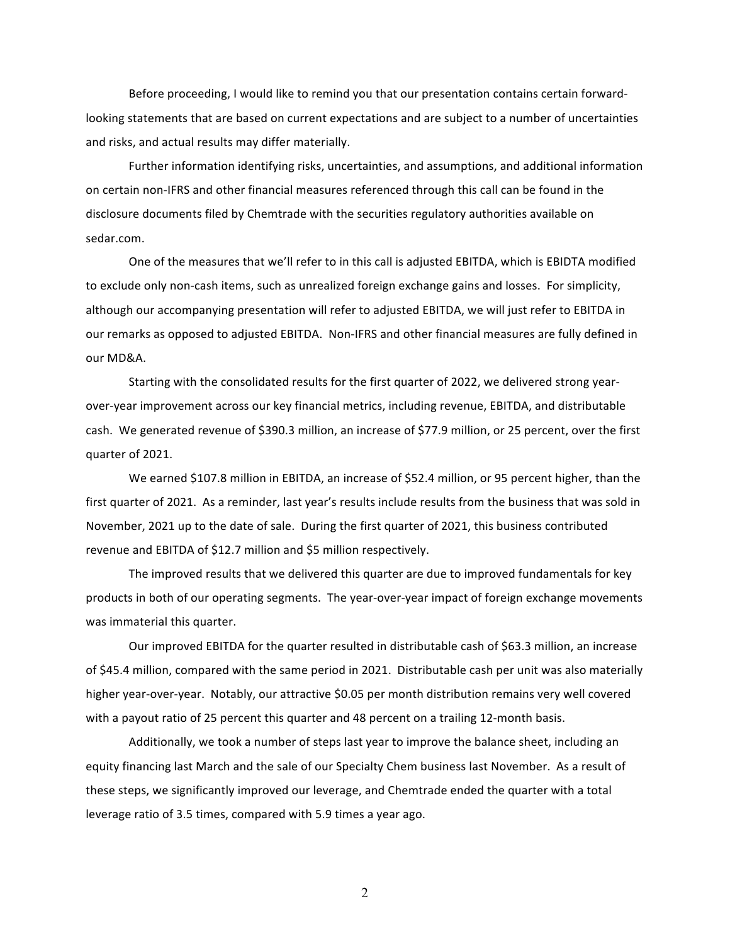Before proceeding, I would like to remind you that our presentation contains certain forwardlooking statements that are based on current expectations and are subject to a number of uncertainties and risks, and actual results may differ materially.

Further information identifying risks, uncertainties, and assumptions, and additional information on certain non-IFRS and other financial measures referenced through this call can be found in the disclosure documents filed by Chemtrade with the securities regulatory authorities available on sedar.com.

One of the measures that we'll refer to in this call is adjusted EBITDA, which is EBIDTA modified to exclude only non-cash items, such as unrealized foreign exchange gains and losses. For simplicity, although our accompanying presentation will refer to adjusted EBITDA, we will just refer to EBITDA in our remarks as opposed to adjusted EBITDA. Non-IFRS and other financial measures are fully defined in our MD&A.

Starting with the consolidated results for the first quarter of 2022, we delivered strong yearover-year improvement across our key financial metrics, including revenue, EBITDA, and distributable cash. We generated revenue of \$390.3 million, an increase of \$77.9 million, or 25 percent, over the first quarter of 2021.

We earned \$107.8 million in EBITDA, an increase of \$52.4 million, or 95 percent higher, than the first quarter of 2021. As a reminder, last year's results include results from the business that was sold in November, 2021 up to the date of sale. During the first quarter of 2021, this business contributed revenue and EBITDA of \$12.7 million and \$5 million respectively.

The improved results that we delivered this quarter are due to improved fundamentals for key products in both of our operating segments. The year-over-year impact of foreign exchange movements was immaterial this quarter.

Our improved EBITDA for the quarter resulted in distributable cash of \$63.3 million, an increase of \$45.4 million, compared with the same period in 2021. Distributable cash per unit was also materially higher year-over-year. Notably, our attractive \$0.05 per month distribution remains very well covered with a payout ratio of 25 percent this quarter and 48 percent on a trailing 12-month basis.

Additionally, we took a number of steps last year to improve the balance sheet, including an equity financing last March and the sale of our Specialty Chem business last November. As a result of these steps, we significantly improved our leverage, and Chemtrade ended the quarter with a total leverage ratio of 3.5 times, compared with 5.9 times a year ago.

 $\mathfrak{D}$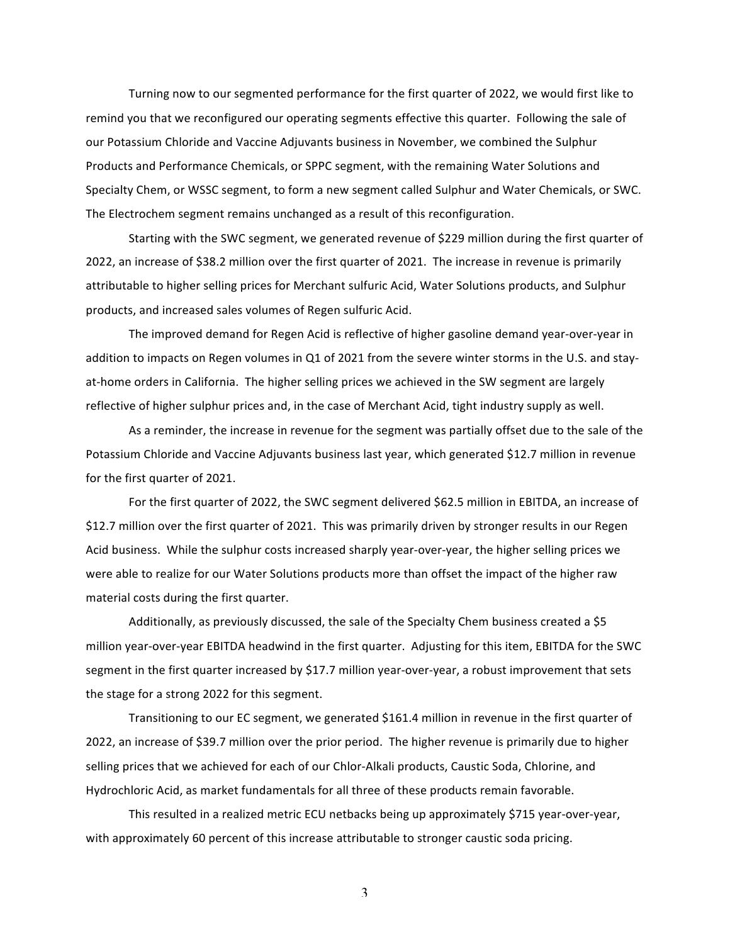Turning now to our segmented performance for the first quarter of 2022, we would first like to remind you that we reconfigured our operating segments effective this quarter. Following the sale of our Potassium Chloride and Vaccine Adjuvants business in November, we combined the Sulphur Products and Performance Chemicals, or SPPC segment, with the remaining Water Solutions and Specialty Chem, or WSSC segment, to form a new segment called Sulphur and Water Chemicals, or SWC. The Electrochem segment remains unchanged as a result of this reconfiguration.

Starting with the SWC segment, we generated revenue of \$229 million during the first quarter of 2022, an increase of \$38.2 million over the first quarter of 2021. The increase in revenue is primarily attributable to higher selling prices for Merchant sulfuric Acid, Water Solutions products, and Sulphur products, and increased sales volumes of Regen sulfuric Acid.

The improved demand for Regen Acid is reflective of higher gasoline demand year-over-year in addition to impacts on Regen volumes in Q1 of 2021 from the severe winter storms in the U.S. and stayat-home orders in California. The higher selling prices we achieved in the SW segment are largely reflective of higher sulphur prices and, in the case of Merchant Acid, tight industry supply as well.

As a reminder, the increase in revenue for the segment was partially offset due to the sale of the Potassium Chloride and Vaccine Adjuvants business last year, which generated \$12.7 million in revenue for the first quarter of 2021.

For the first quarter of 2022, the SWC segment delivered \$62.5 million in EBITDA, an increase of \$12.7 million over the first quarter of 2021. This was primarily driven by stronger results in our Regen Acid business. While the sulphur costs increased sharply year-over-year, the higher selling prices we were able to realize for our Water Solutions products more than offset the impact of the higher raw material costs during the first quarter.

Additionally, as previously discussed, the sale of the Specialty Chem business created a \$5 million year-over-year EBITDA headwind in the first quarter. Adjusting for this item, EBITDA for the SWC segment in the first quarter increased by \$17.7 million year-over-year, a robust improvement that sets the stage for a strong 2022 for this segment.

Transitioning to our EC segment, we generated \$161.4 million in revenue in the first quarter of 2022, an increase of \$39.7 million over the prior period. The higher revenue is primarily due to higher selling prices that we achieved for each of our Chlor-Alkali products, Caustic Soda, Chlorine, and Hydrochloric Acid, as market fundamentals for all three of these products remain favorable.

This resulted in a realized metric ECU netbacks being up approximately \$715 year-over-year, with approximately 60 percent of this increase attributable to stronger caustic soda pricing.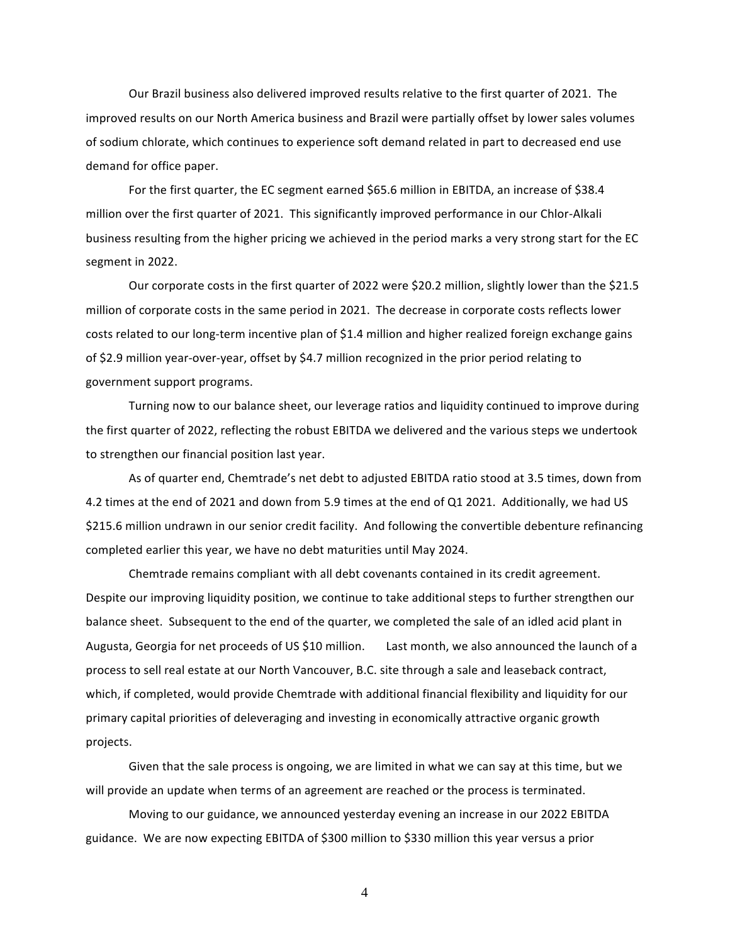Our Brazil business also delivered improved results relative to the first quarter of 2021. The improved results on our North America business and Brazil were partially offset by lower sales volumes of sodium chlorate, which continues to experience soft demand related in part to decreased end use demand for office paper.

For the first quarter, the EC segment earned \$65.6 million in EBITDA, an increase of \$38.4 million over the first quarter of 2021. This significantly improved performance in our Chlor-Alkali business resulting from the higher pricing we achieved in the period marks a very strong start for the EC segment in 2022.

Our corporate costs in the first quarter of 2022 were \$20.2 million, slightly lower than the \$21.5 million of corporate costs in the same period in 2021. The decrease in corporate costs reflects lower costs related to our long-term incentive plan of \$1.4 million and higher realized foreign exchange gains of \$2.9 million year-over-year, offset by \$4.7 million recognized in the prior period relating to government support programs.

Turning now to our balance sheet, our leverage ratios and liquidity continued to improve during the first quarter of 2022, reflecting the robust EBITDA we delivered and the various steps we undertook to strengthen our financial position last year.

As of quarter end, Chemtrade's net debt to adjusted EBITDA ratio stood at 3.5 times, down from 4.2 times at the end of 2021 and down from 5.9 times at the end of Q1 2021. Additionally, we had US \$215.6 million undrawn in our senior credit facility. And following the convertible debenture refinancing completed earlier this year, we have no debt maturities until May 2024.

Chemtrade remains compliant with all debt covenants contained in its credit agreement. Despite our improving liquidity position, we continue to take additional steps to further strengthen our balance sheet. Subsequent to the end of the quarter, we completed the sale of an idled acid plant in Augusta, Georgia for net proceeds of US \$10 million. Last month, we also announced the launch of a process to sell real estate at our North Vancouver, B.C. site through a sale and leaseback contract, which, if completed, would provide Chemtrade with additional financial flexibility and liquidity for our primary capital priorities of deleveraging and investing in economically attractive organic growth projects.

Given that the sale process is ongoing, we are limited in what we can say at this time, but we will provide an update when terms of an agreement are reached or the process is terminated.

Moving to our guidance, we announced yesterday evening an increase in our 2022 EBITDA guidance. We are now expecting EBITDA of \$300 million to \$330 million this year versus a prior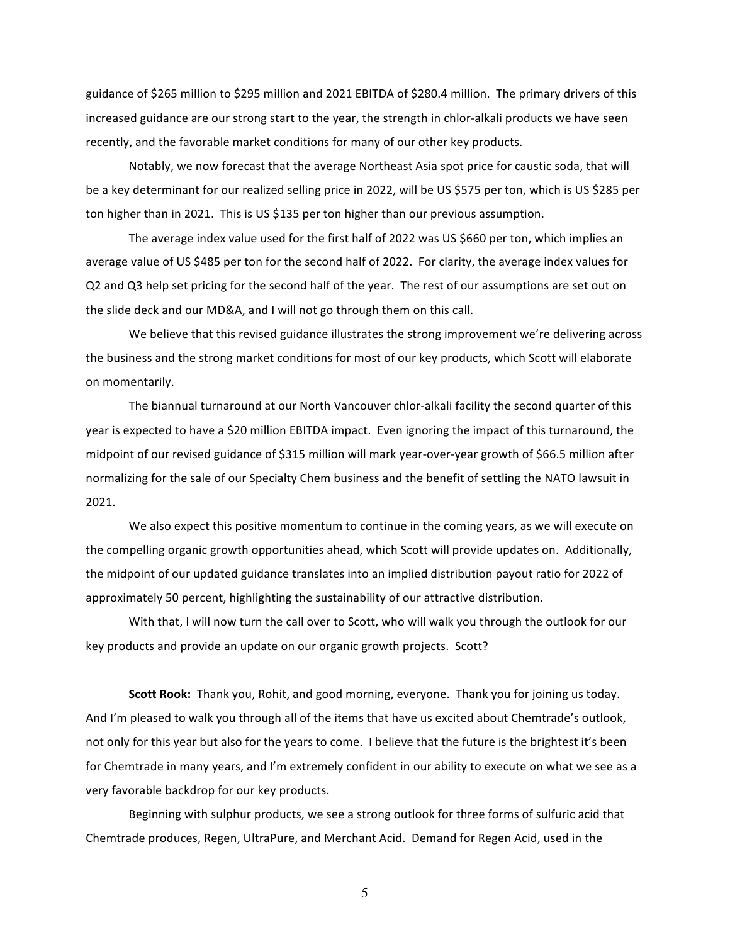guidance of \$265 million to \$295 million and 2021 EBITDA of \$280.4 million. The primary drivers of this increased guidance are our strong start to the year, the strength in chlor-alkali products we have seen recently, and the favorable market conditions for many of our other key products.

Notably, we now forecast that the average Northeast Asia spot price for caustic soda, that will be a key determinant for our realized selling price in 2022, will be US \$575 per ton, which is US \$285 per ton higher than in 2021. This is US \$135 per ton higher than our previous assumption.

The average index value used for the first half of 2022 was US \$660 per ton, which implies an average value of US \$485 per ton for the second half of 2022. For clarity, the average index values for Q2 and Q3 help set pricing for the second half of the year. The rest of our assumptions are set out on the slide deck and our MD&A, and I will not go through them on this call.

We believe that this revised guidance illustrates the strong improvement we're delivering across the business and the strong market conditions for most of our key products, which Scott will elaborate on momentarily.

The biannual turnaround at our North Vancouver chlor-alkali facility the second quarter of this year is expected to have a \$20 million EBITDA impact. Even ignoring the impact of this turnaround, the midpoint of our revised guidance of \$315 million will mark year-over-year growth of \$66.5 million after normalizing for the sale of our Specialty Chem business and the benefit of settling the NATO lawsuit in 2021.

We also expect this positive momentum to continue in the coming years, as we will execute on the compelling organic growth opportunities ahead, which Scott will provide updates on. Additionally, the midpoint of our updated guidance translates into an implied distribution payout ratio for 2022 of approximately 50 percent, highlighting the sustainability of our attractive distribution.

With that, I will now turn the call over to Scott, who will walk you through the outlook for our key products and provide an update on our organic growth projects. Scott?

Scott Rook: Thank you, Rohit, and good morning, everyone. Thank you for joining us today. And I'm pleased to walk you through all of the items that have us excited about Chemtrade's outlook, not only for this year but also for the years to come. I believe that the future is the brightest it's been for Chemtrade in many years, and I'm extremely confident in our ability to execute on what we see as a very favorable backdrop for our key products.

Beginning with sulphur products, we see a strong outlook for three forms of sulfuric acid that Chemtrade produces, Regen, UltraPure, and Merchant Acid. Demand for Regen Acid, used in the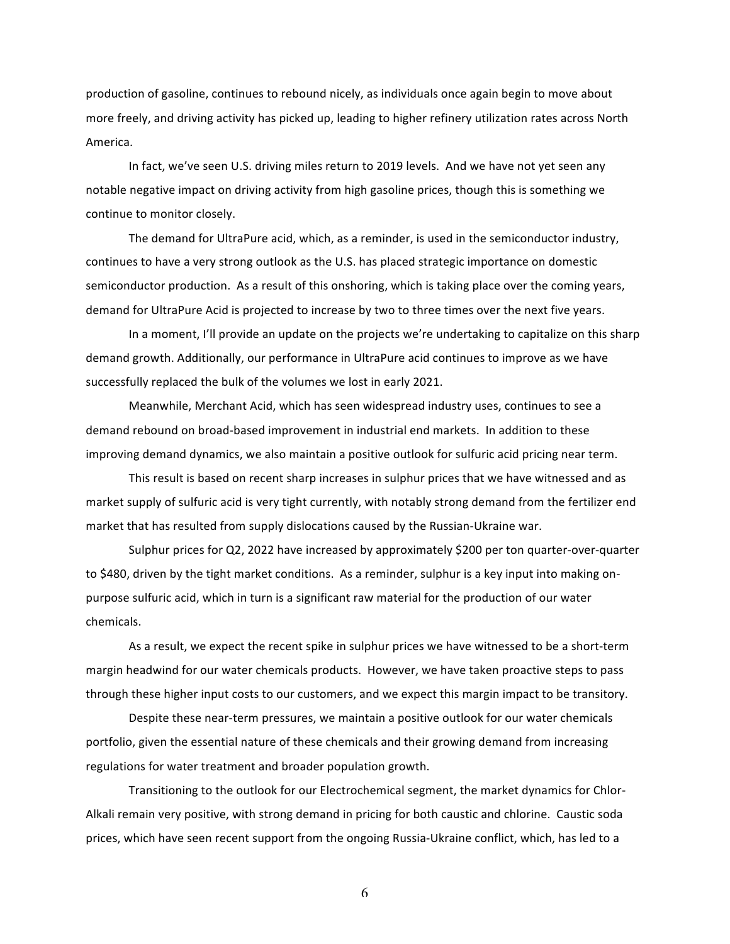production of gasoline, continues to rebound nicely, as individuals once again begin to move about more freely, and driving activity has picked up, leading to higher refinery utilization rates across North America.

In fact, we've seen U.S. driving miles return to 2019 levels. And we have not yet seen any notable negative impact on driving activity from high gasoline prices, though this is something we continue to monitor closely.

The demand for UltraPure acid, which, as a reminder, is used in the semiconductor industry, continues to have a very strong outlook as the U.S. has placed strategic importance on domestic semiconductor production. As a result of this onshoring, which is taking place over the coming years, demand for UltraPure Acid is projected to increase by two to three times over the next five years.

In a moment, I'll provide an update on the projects we're undertaking to capitalize on this sharp demand growth. Additionally, our performance in UltraPure acid continues to improve as we have successfully replaced the bulk of the volumes we lost in early 2021.

Meanwhile, Merchant Acid, which has seen widespread industry uses, continues to see a demand rebound on broad-based improvement in industrial end markets. In addition to these improving demand dynamics, we also maintain a positive outlook for sulfuric acid pricing near term.

This result is based on recent sharp increases in sulphur prices that we have witnessed and as market supply of sulfuric acid is very tight currently, with notably strong demand from the fertilizer end market that has resulted from supply dislocations caused by the Russian-Ukraine war.

Sulphur prices for Q2, 2022 have increased by approximately \$200 per ton quarter-over-quarter to \$480, driven by the tight market conditions. As a reminder, sulphur is a key input into making onpurpose sulfuric acid, which in turn is a significant raw material for the production of our water chemicals.

As a result, we expect the recent spike in sulphur prices we have witnessed to be a short-term margin headwind for our water chemicals products. However, we have taken proactive steps to pass through these higher input costs to our customers, and we expect this margin impact to be transitory.

Despite these near-term pressures, we maintain a positive outlook for our water chemicals portfolio, given the essential nature of these chemicals and their growing demand from increasing regulations for water treatment and broader population growth.

Transitioning to the outlook for our Electrochemical segment, the market dynamics for Chlor-Alkali remain very positive, with strong demand in pricing for both caustic and chlorine. Caustic soda prices, which have seen recent support from the ongoing Russia-Ukraine conflict, which, has led to a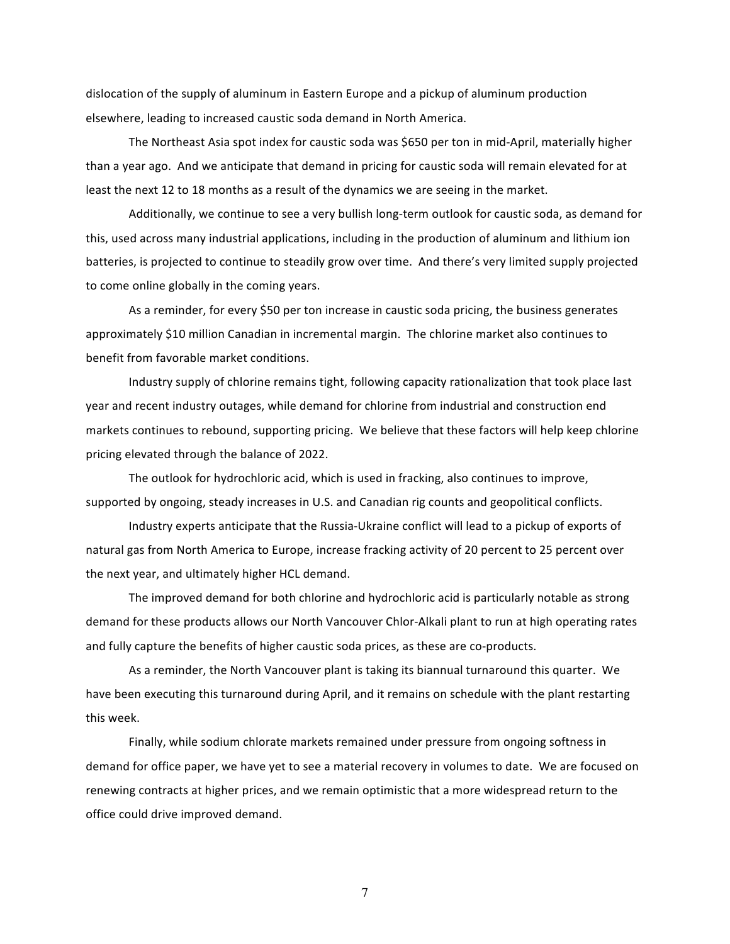dislocation of the supply of aluminum in Eastern Europe and a pickup of aluminum production elsewhere, leading to increased caustic soda demand in North America.

The Northeast Asia spot index for caustic soda was \$650 per ton in mid-April, materially higher than a year ago. And we anticipate that demand in pricing for caustic soda will remain elevated for at least the next 12 to 18 months as a result of the dynamics we are seeing in the market.

Additionally, we continue to see a very bullish long-term outlook for caustic soda, as demand for this, used across many industrial applications, including in the production of aluminum and lithium ion batteries, is projected to continue to steadily grow over time. And there's very limited supply projected to come online globally in the coming years.

As a reminder, for every \$50 per ton increase in caustic soda pricing, the business generates approximately \$10 million Canadian in incremental margin. The chlorine market also continues to benefit from favorable market conditions.

Industry supply of chlorine remains tight, following capacity rationalization that took place last year and recent industry outages, while demand for chlorine from industrial and construction end markets continues to rebound, supporting pricing. We believe that these factors will help keep chlorine pricing elevated through the balance of 2022.

The outlook for hydrochloric acid, which is used in fracking, also continues to improve, supported by ongoing, steady increases in U.S. and Canadian rig counts and geopolitical conflicts.

Industry experts anticipate that the Russia-Ukraine conflict will lead to a pickup of exports of natural gas from North America to Europe, increase fracking activity of 20 percent to 25 percent over the next year, and ultimately higher HCL demand.

The improved demand for both chlorine and hydrochloric acid is particularly notable as strong demand for these products allows our North Vancouver Chlor-Alkali plant to run at high operating rates and fully capture the benefits of higher caustic soda prices, as these are co-products.

As a reminder, the North Vancouver plant is taking its biannual turnaround this quarter. We have been executing this turnaround during April, and it remains on schedule with the plant restarting this week.

Finally, while sodium chlorate markets remained under pressure from ongoing softness in demand for office paper, we have yet to see a material recovery in volumes to date. We are focused on renewing contracts at higher prices, and we remain optimistic that a more widespread return to the office could drive improved demand.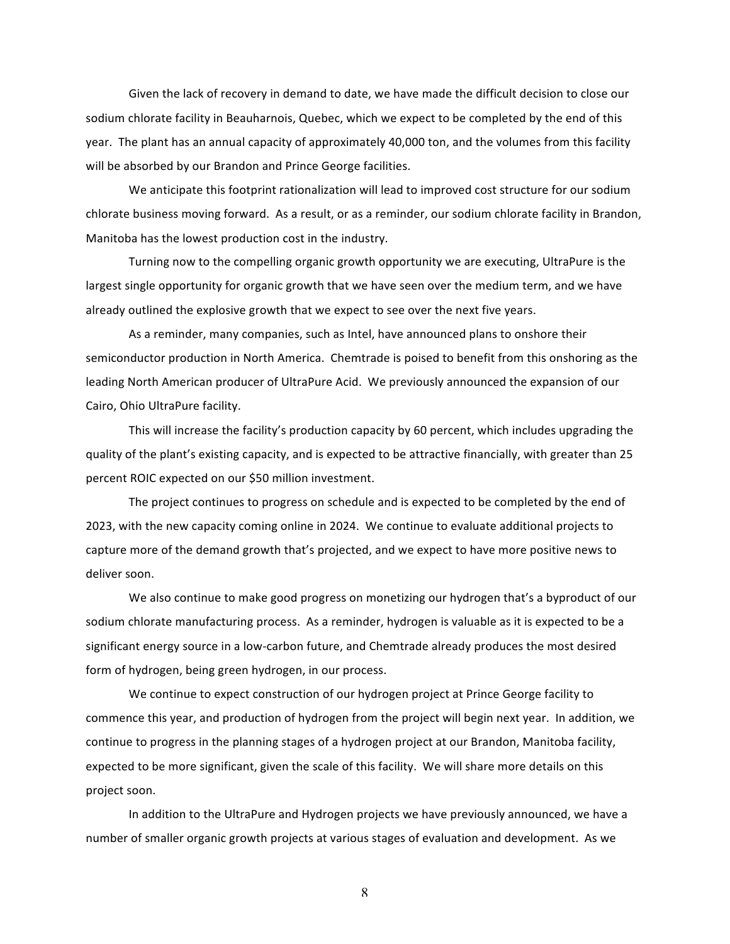Given the lack of recovery in demand to date, we have made the difficult decision to close our sodium chlorate facility in Beauharnois, Quebec, which we expect to be completed by the end of this year. The plant has an annual capacity of approximately 40,000 ton, and the volumes from this facility will be absorbed by our Brandon and Prince George facilities.

We anticipate this footprint rationalization will lead to improved cost structure for our sodium chlorate business moving forward. As a result, or as a reminder, our sodium chlorate facility in Brandon, Manitoba has the lowest production cost in the industry.

Turning now to the compelling organic growth opportunity we are executing, UltraPure is the largest single opportunity for organic growth that we have seen over the medium term, and we have already outlined the explosive growth that we expect to see over the next five years.

As a reminder, many companies, such as Intel, have announced plans to onshore their semiconductor production in North America. Chemtrade is poised to benefit from this onshoring as the leading North American producer of UltraPure Acid. We previously announced the expansion of our Cairo, Ohio UltraPure facility.

This will increase the facility's production capacity by 60 percent, which includes upgrading the quality of the plant's existing capacity, and is expected to be attractive financially, with greater than 25 percent ROIC expected on our \$50 million investment.

The project continues to progress on schedule and is expected to be completed by the end of 2023, with the new capacity coming online in 2024. We continue to evaluate additional projects to capture more of the demand growth that's projected, and we expect to have more positive news to deliver soon.

We also continue to make good progress on monetizing our hydrogen that's a byproduct of our sodium chlorate manufacturing process. As a reminder, hydrogen is valuable as it is expected to be a significant energy source in a low-carbon future, and Chemtrade already produces the most desired form of hydrogen, being green hydrogen, in our process.

We continue to expect construction of our hydrogen project at Prince George facility to commence this year, and production of hydrogen from the project will begin next year. In addition, we continue to progress in the planning stages of a hydrogen project at our Brandon, Manitoba facility, expected to be more significant, given the scale of this facility. We will share more details on this project soon.

In addition to the UltraPure and Hydrogen projects we have previously announced, we have a number of smaller organic growth projects at various stages of evaluation and development. As we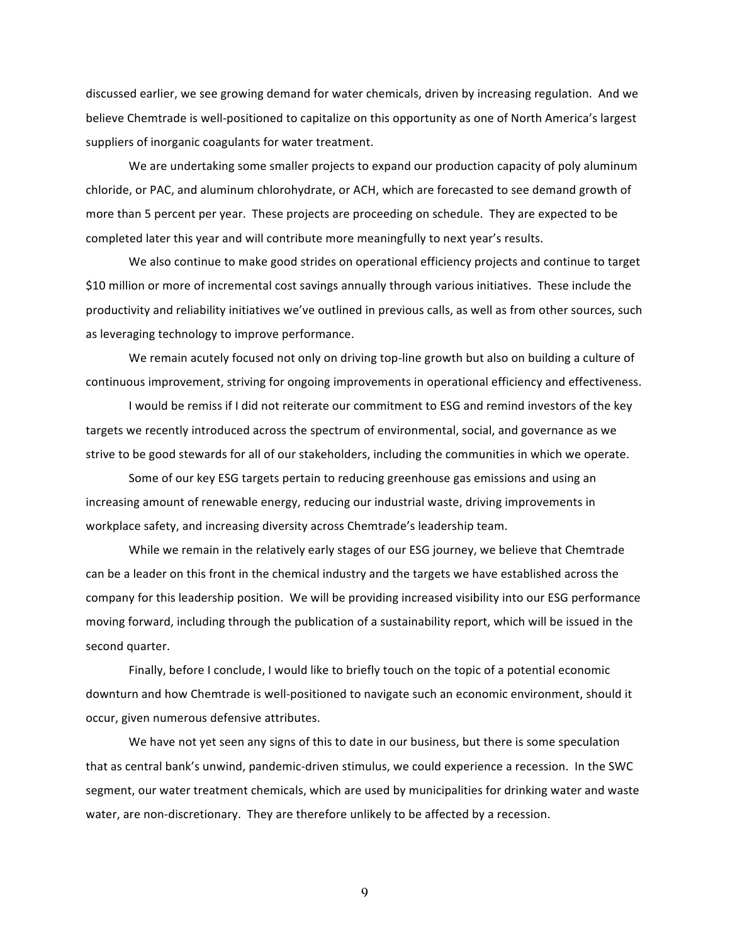discussed earlier, we see growing demand for water chemicals, driven by increasing regulation. And we believe Chemtrade is well-positioned to capitalize on this opportunity as one of North America's largest suppliers of inorganic coagulants for water treatment.

We are undertaking some smaller projects to expand our production capacity of poly aluminum chloride, or PAC, and aluminum chlorohydrate, or ACH, which are forecasted to see demand growth of more than 5 percent per year. These projects are proceeding on schedule. They are expected to be completed later this year and will contribute more meaningfully to next year's results.

We also continue to make good strides on operational efficiency projects and continue to target \$10 million or more of incremental cost savings annually through various initiatives. These include the productivity and reliability initiatives we've outlined in previous calls, as well as from other sources, such as leveraging technology to improve performance.

We remain acutely focused not only on driving top-line growth but also on building a culture of continuous improvement, striving for ongoing improvements in operational efficiency and effectiveness.

I would be remiss if I did not reiterate our commitment to ESG and remind investors of the key targets we recently introduced across the spectrum of environmental, social, and governance as we strive to be good stewards for all of our stakeholders, including the communities in which we operate.

Some of our key ESG targets pertain to reducing greenhouse gas emissions and using an increasing amount of renewable energy, reducing our industrial waste, driving improvements in workplace safety, and increasing diversity across Chemtrade's leadership team.

While we remain in the relatively early stages of our ESG journey, we believe that Chemtrade can be a leader on this front in the chemical industry and the targets we have established across the company for this leadership position. We will be providing increased visibility into our ESG performance moving forward, including through the publication of a sustainability report, which will be issued in the second quarter.

Finally, before I conclude, I would like to briefly touch on the topic of a potential economic downturn and how Chemtrade is well-positioned to navigate such an economic environment, should it occur, given numerous defensive attributes.

We have not yet seen any signs of this to date in our business, but there is some speculation that as central bank's unwind, pandemic-driven stimulus, we could experience a recession. In the SWC segment, our water treatment chemicals, which are used by municipalities for drinking water and waste water, are non-discretionary. They are therefore unlikely to be affected by a recession.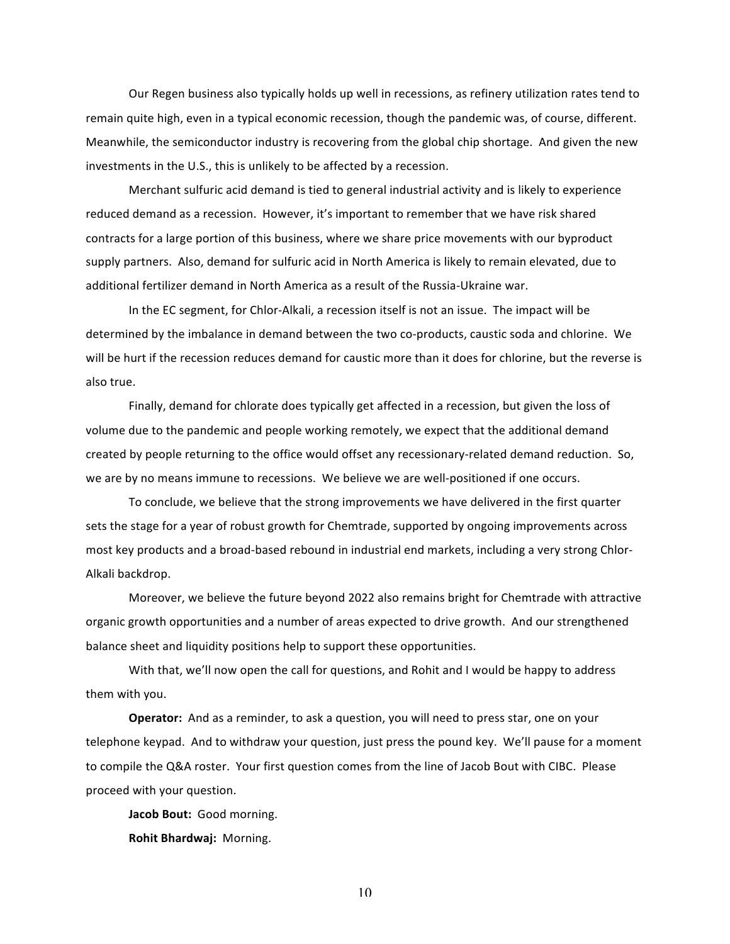Our Regen business also typically holds up well in recessions, as refinery utilization rates tend to remain quite high, even in a typical economic recession, though the pandemic was, of course, different. Meanwhile, the semiconductor industry is recovering from the global chip shortage. And given the new investments in the U.S., this is unlikely to be affected by a recession.

Merchant sulfuric acid demand is tied to general industrial activity and is likely to experience reduced demand as a recession. However, it's important to remember that we have risk shared contracts for a large portion of this business, where we share price movements with our byproduct supply partners. Also, demand for sulfuric acid in North America is likely to remain elevated, due to additional fertilizer demand in North America as a result of the Russia-Ukraine war.

In the EC segment, for Chlor-Alkali, a recession itself is not an issue. The impact will be determined by the imbalance in demand between the two co-products, caustic soda and chlorine. We will be hurt if the recession reduces demand for caustic more than it does for chlorine, but the reverse is also true.

Finally, demand for chlorate does typically get affected in a recession, but given the loss of volume due to the pandemic and people working remotely, we expect that the additional demand created by people returning to the office would offset any recessionary-related demand reduction. So, we are by no means immune to recessions. We believe we are well-positioned if one occurs.

To conclude, we believe that the strong improvements we have delivered in the first quarter sets the stage for a year of robust growth for Chemtrade, supported by ongoing improvements across most key products and a broad-based rebound in industrial end markets, including a very strong Chlor-Alkali backdrop.

Moreover, we believe the future beyond 2022 also remains bright for Chemtrade with attractive organic growth opportunities and a number of areas expected to drive growth. And our strengthened balance sheet and liquidity positions help to support these opportunities.

With that, we'll now open the call for questions, and Rohit and I would be happy to address them with you.

**Operator:** And as a reminder, to ask a question, you will need to press star, one on your telephone keypad. And to withdraw your question, just press the pound key. We'll pause for a moment to compile the Q&A roster. Your first question comes from the line of Jacob Bout with CIBC. Please proceed with your question.

Jacob Bout: Good morning.

**Rohit Bhardwaj: Morning.**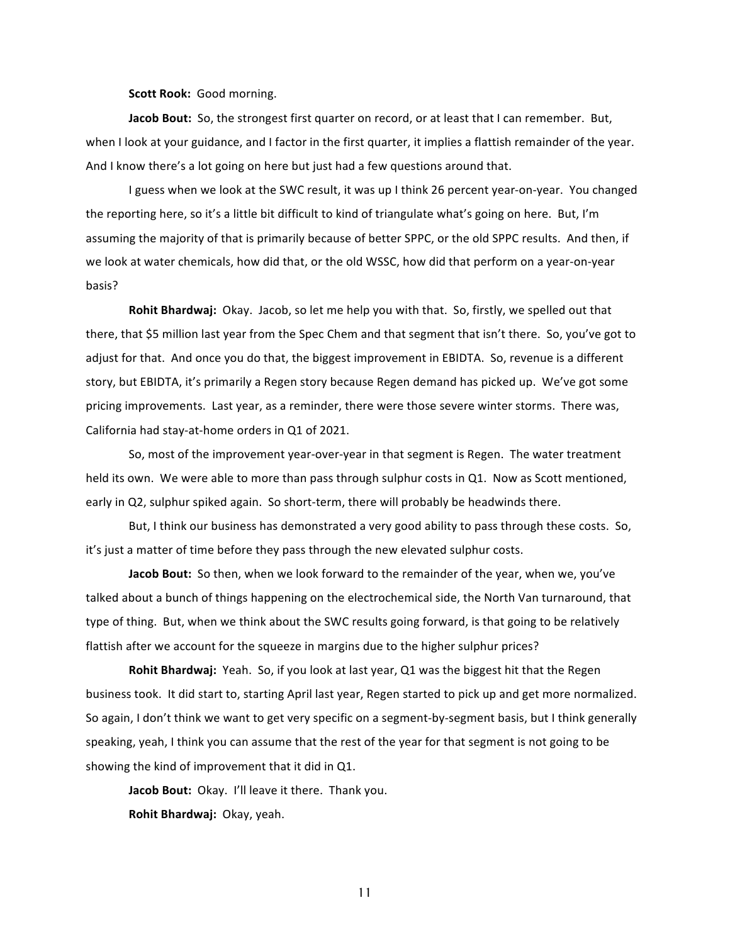**Scott Rook:** Good morning.

**Jacob Bout:** So, the strongest first quarter on record, or at least that I can remember. But, when I look at your guidance, and I factor in the first quarter, it implies a flattish remainder of the year. And I know there's a lot going on here but just had a few questions around that.

I guess when we look at the SWC result, it was up I think 26 percent year-on-year. You changed the reporting here, so it's a little bit difficult to kind of triangulate what's going on here. But, I'm assuming the majority of that is primarily because of better SPPC, or the old SPPC results. And then, if we look at water chemicals, how did that, or the old WSSC, how did that perform on a year-on-year basis?

**Rohit Bhardwaj:** Okay. Jacob, so let me help you with that. So, firstly, we spelled out that there, that \$5 million last year from the Spec Chem and that segment that isn't there. So, you've got to adjust for that. And once you do that, the biggest improvement in EBIDTA. So, revenue is a different story, but EBIDTA, it's primarily a Regen story because Regen demand has picked up. We've got some pricing improvements. Last year, as a reminder, there were those severe winter storms. There was, California had stay-at-home orders in Q1 of 2021.

So, most of the improvement year-over-year in that segment is Regen. The water treatment held its own. We were able to more than pass through sulphur costs in Q1. Now as Scott mentioned, early in Q2, sulphur spiked again. So short-term, there will probably be headwinds there.

But, I think our business has demonstrated a very good ability to pass through these costs. So, it's just a matter of time before they pass through the new elevated sulphur costs.

**Jacob Bout:** So then, when we look forward to the remainder of the year, when we, you've talked about a bunch of things happening on the electrochemical side, the North Van turnaround, that type of thing. But, when we think about the SWC results going forward, is that going to be relatively flattish after we account for the squeeze in margins due to the higher sulphur prices?

**Rohit Bhardwaj:** Yeah. So, if you look at last year, Q1 was the biggest hit that the Regen business took. It did start to, starting April last year, Regen started to pick up and get more normalized. So again, I don't think we want to get very specific on a segment-by-segment basis, but I think generally speaking, yeah, I think you can assume that the rest of the year for that segment is not going to be showing the kind of improvement that it did in Q1.

**Jacob Bout:** Okay. I'll leave it there. Thank you.

**Rohit Bhardwaj: Okay, yeah.**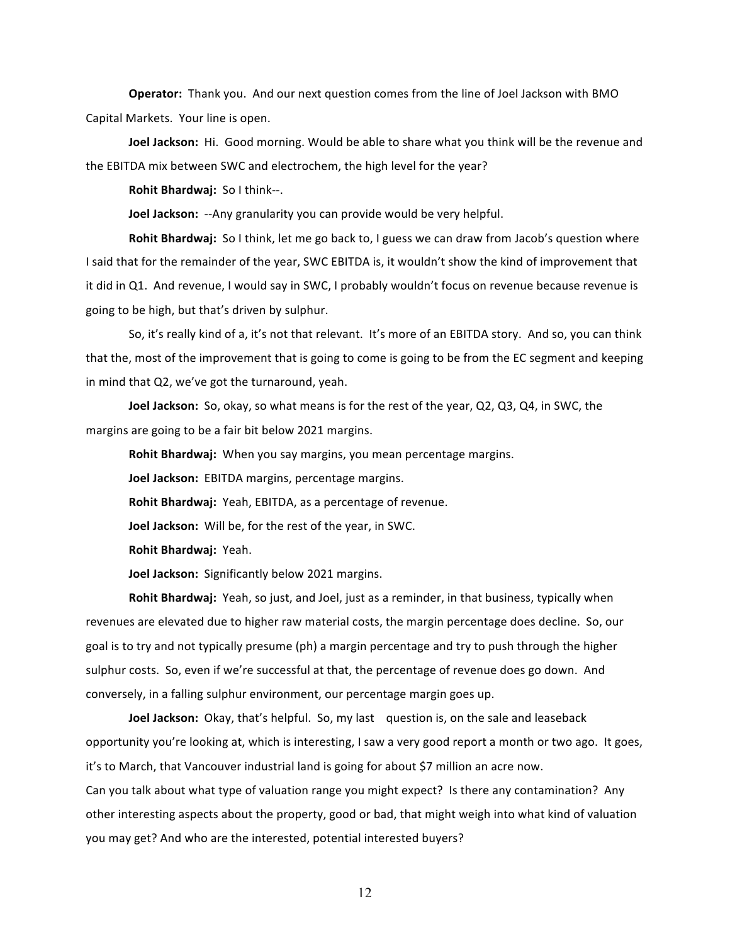**Operator:** Thank you. And our next question comes from the line of Joel Jackson with BMO Capital Markets. Your line is open.

**Joel Jackson:** Hi. Good morning. Would be able to share what you think will be the revenue and the EBITDA mix between SWC and electrochem, the high level for the year?

**Rohit Bhardwaj:** So I think--.

**Joel Jackson:** --Any granularity you can provide would be very helpful.

**Rohit Bhardwaj:** So I think, let me go back to, I guess we can draw from Jacob's question where I said that for the remainder of the year, SWC EBITDA is, it wouldn't show the kind of improvement that it did in Q1. And revenue, I would say in SWC, I probably wouldn't focus on revenue because revenue is going to be high, but that's driven by sulphur.

So, it's really kind of a, it's not that relevant. It's more of an EBITDA story. And so, you can think that the, most of the improvement that is going to come is going to be from the EC segment and keeping in mind that Q2, we've got the turnaround, yeah.

**Joel Jackson:** So, okay, so what means is for the rest of the year, Q2, Q3, Q4, in SWC, the margins are going to be a fair bit below 2021 margins.

**Rohit Bhardwaj:** When you say margins, you mean percentage margins.

**Joel Jackson:** EBITDA margins, percentage margins.

Rohit Bhardwaj: Yeah, EBITDA, as a percentage of revenue.

**Joel Jackson:** Will be, for the rest of the year, in SWC.

**Rohit Bhardwaj: Yeah.** 

**Joel Jackson:** Significantly below 2021 margins.

**Rohit Bhardwaj:** Yeah, so just, and Joel, just as a reminder, in that business, typically when revenues are elevated due to higher raw material costs, the margin percentage does decline. So, our goal is to try and not typically presume (ph) a margin percentage and try to push through the higher sulphur costs. So, even if we're successful at that, the percentage of revenue does go down. And conversely, in a falling sulphur environment, our percentage margin goes up.

**Joel Jackson:** Okay, that's helpful. So, my last question is, on the sale and leaseback opportunity you're looking at, which is interesting, I saw a very good report a month or two ago. It goes, it's to March, that Vancouver industrial land is going for about \$7 million an acre now.

Can you talk about what type of valuation range you might expect? Is there any contamination? Any other interesting aspects about the property, good or bad, that might weigh into what kind of valuation you may get? And who are the interested, potential interested buyers?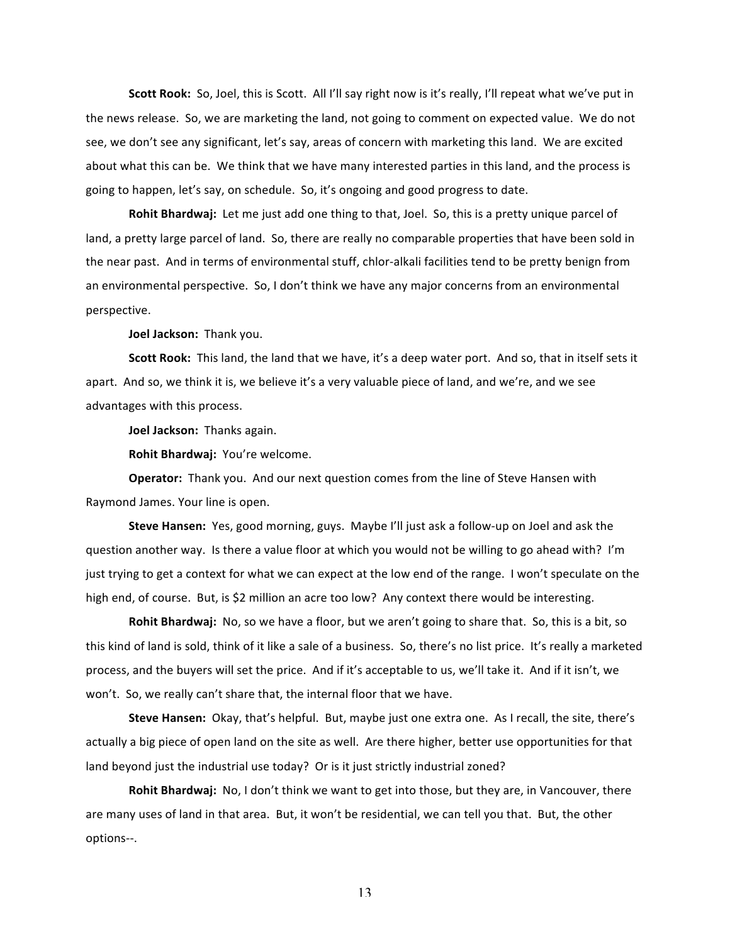**Scott Rook:** So, Joel, this is Scott. All I'll say right now is it's really, I'll repeat what we've put in the news release. So, we are marketing the land, not going to comment on expected value. We do not see, we don't see any significant, let's say, areas of concern with marketing this land. We are excited about what this can be. We think that we have many interested parties in this land, and the process is going to happen, let's say, on schedule. So, it's ongoing and good progress to date.

**Rohit Bhardwaj:** Let me just add one thing to that, Joel. So, this is a pretty unique parcel of land, a pretty large parcel of land. So, there are really no comparable properties that have been sold in the near past. And in terms of environmental stuff, chlor-alkali facilities tend to be pretty benign from an environmental perspective. So, I don't think we have any major concerns from an environmental perspective.

**Joel Jackson: Thank you.** 

**Scott Rook:** This land, the land that we have, it's a deep water port. And so, that in itself sets it apart. And so, we think it is, we believe it's a very valuable piece of land, and we're, and we see advantages with this process.

**Joel Jackson:** Thanks again.

**Rohit Bhardwaj: You're welcome.** 

**Operator:** Thank you. And our next question comes from the line of Steve Hansen with Raymond James. Your line is open.

**Steve Hansen:** Yes, good morning, guys. Maybe I'll just ask a follow-up on Joel and ask the question another way. Is there a value floor at which you would not be willing to go ahead with? I'm just trying to get a context for what we can expect at the low end of the range. I won't speculate on the high end, of course. But, is \$2 million an acre too low? Any context there would be interesting.

**Rohit Bhardwaj:** No, so we have a floor, but we aren't going to share that. So, this is a bit, so this kind of land is sold, think of it like a sale of a business. So, there's no list price. It's really a marketed process, and the buyers will set the price. And if it's acceptable to us, we'll take it. And if it isn't, we won't. So, we really can't share that, the internal floor that we have.

**Steve Hansen:** Okay, that's helpful. But, maybe just one extra one. As I recall, the site, there's actually a big piece of open land on the site as well. Are there higher, better use opportunities for that land beyond just the industrial use today? Or is it just strictly industrial zoned?

**Rohit Bhardwaj:** No, I don't think we want to get into those, but they are, in Vancouver, there are many uses of land in that area. But, it won't be residential, we can tell you that. But, the other options--.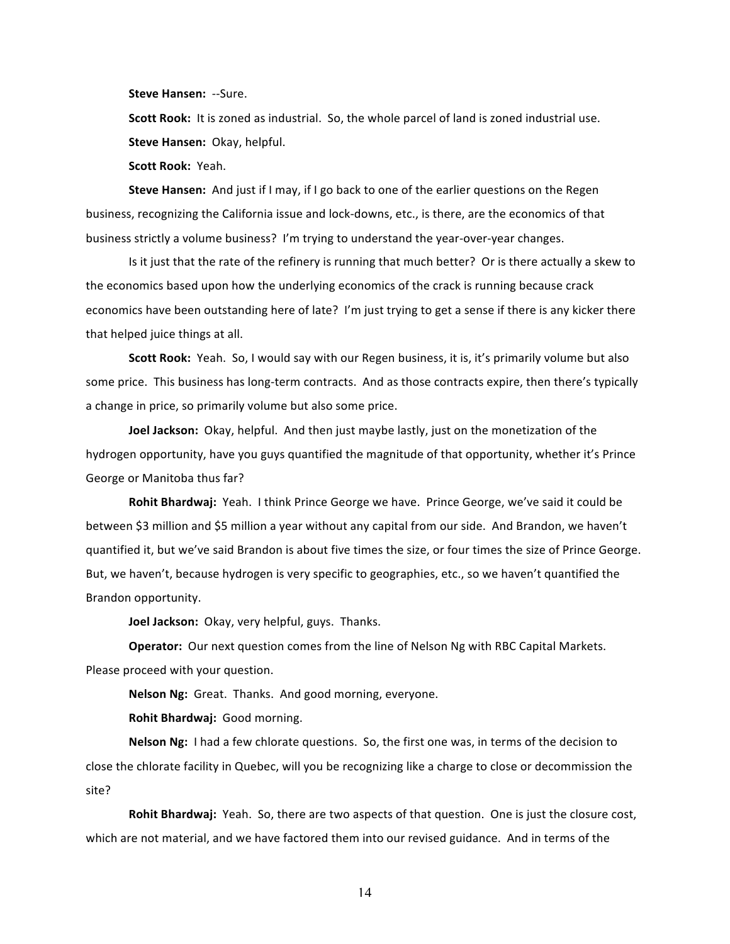**Steve Hansen: --Sure.** 

**Scott Rook:** It is zoned as industrial. So, the whole parcel of land is zoned industrial use. **Steve Hansen: Okay, helpful.** 

**Scott Rook: Yeah.** 

**Steve Hansen:** And just if I may, if I go back to one of the earlier questions on the Regen business, recognizing the California issue and lock-downs, etc., is there, are the economics of that business strictly a volume business? I'm trying to understand the year-over-year changes.

Is it just that the rate of the refinery is running that much better? Or is there actually a skew to the economics based upon how the underlying economics of the crack is running because crack economics have been outstanding here of late? I'm just trying to get a sense if there is any kicker there that helped juice things at all.

**Scott Rook:** Yeah. So, I would say with our Regen business, it is, it's primarily volume but also some price. This business has long-term contracts. And as those contracts expire, then there's typically a change in price, so primarily volume but also some price.

**Joel Jackson:** Okay, helpful. And then just maybe lastly, just on the monetization of the hydrogen opportunity, have you guys quantified the magnitude of that opportunity, whether it's Prince George or Manitoba thus far?

Rohit Bhardwaj: Yeah. I think Prince George we have. Prince George, we've said it could be between \$3 million and \$5 million a year without any capital from our side. And Brandon, we haven't quantified it, but we've said Brandon is about five times the size, or four times the size of Prince George. But, we haven't, because hydrogen is very specific to geographies, etc., so we haven't quantified the Brandon opportunity.

**Joel Jackson:** Okay, very helpful, guys. Thanks.

**Operator:** Our next question comes from the line of Nelson Ng with RBC Capital Markets. Please proceed with your question.

Nelson Ng: Great. Thanks. And good morning, everyone.

**Rohit Bhardwaj:** Good morning.

**Nelson Ng:** I had a few chlorate questions. So, the first one was, in terms of the decision to close the chlorate facility in Quebec, will you be recognizing like a charge to close or decommission the site?

**Rohit Bhardwaj:** Yeah. So, there are two aspects of that question. One is just the closure cost, which are not material, and we have factored them into our revised guidance. And in terms of the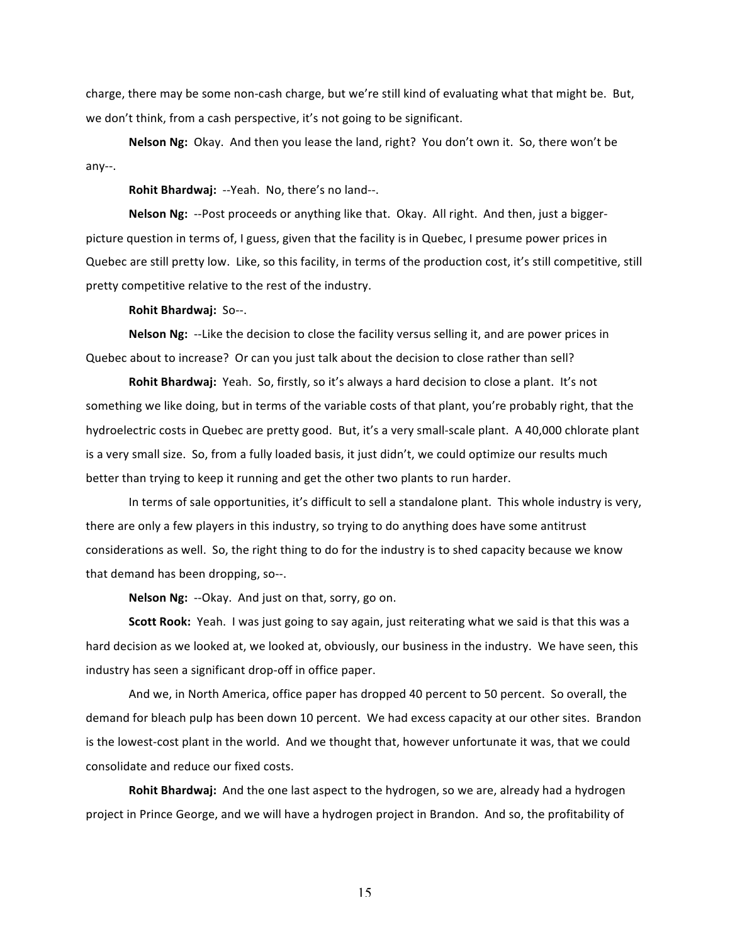charge, there may be some non-cash charge, but we're still kind of evaluating what that might be. But, we don't think, from a cash perspective, it's not going to be significant.

Nelson Ng: Okay. And then you lease the land, right? You don't own it. So, there won't be any--.

Rohit Bhardwaj: --Yeah. No, there's no land--.

**Nelson Ng:** --Post proceeds or anything like that. Okay. All right. And then, just a biggerpicture question in terms of, I guess, given that the facility is in Quebec, I presume power prices in Quebec are still pretty low. Like, so this facility, in terms of the production cost, it's still competitive, still pretty competitive relative to the rest of the industry.

**Rohit Bhardwaj: So--.** 

**Nelson Ng:** --Like the decision to close the facility versus selling it, and are power prices in Quebec about to increase? Or can you just talk about the decision to close rather than sell?

**Rohit Bhardwaj:** Yeah. So, firstly, so it's always a hard decision to close a plant. It's not something we like doing, but in terms of the variable costs of that plant, you're probably right, that the hydroelectric costs in Quebec are pretty good. But, it's a very small-scale plant. A 40,000 chlorate plant is a very small size. So, from a fully loaded basis, it just didn't, we could optimize our results much better than trying to keep it running and get the other two plants to run harder.

In terms of sale opportunities, it's difficult to sell a standalone plant. This whole industry is very, there are only a few players in this industry, so trying to do anything does have some antitrust considerations as well. So, the right thing to do for the industry is to shed capacity because we know that demand has been dropping, so--.

**Nelson Ng:** --Okay. And just on that, sorry, go on.

**Scott Rook:** Yeah. I was just going to say again, just reiterating what we said is that this was a hard decision as we looked at, we looked at, obviously, our business in the industry. We have seen, this industry has seen a significant drop-off in office paper.

And we, in North America, office paper has dropped 40 percent to 50 percent. So overall, the demand for bleach pulp has been down 10 percent. We had excess capacity at our other sites. Brandon is the lowest-cost plant in the world. And we thought that, however unfortunate it was, that we could consolidate and reduce our fixed costs.

**Rohit Bhardwaj:** And the one last aspect to the hydrogen, so we are, already had a hydrogen project in Prince George, and we will have a hydrogen project in Brandon. And so, the profitability of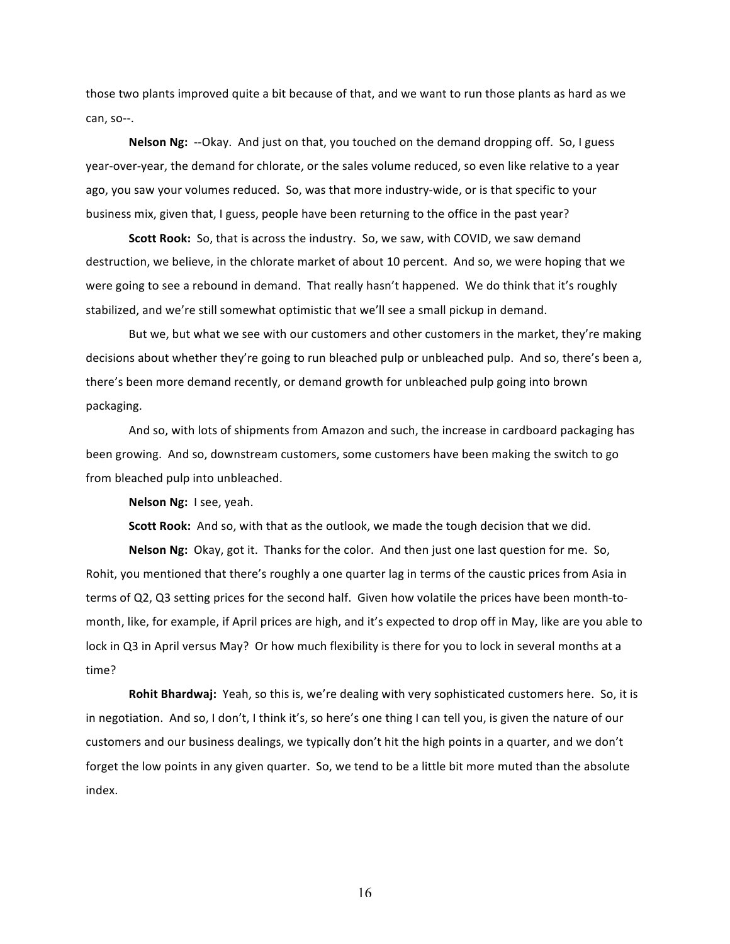those two plants improved quite a bit because of that, and we want to run those plants as hard as we can, so--.

**Nelson Ng:** --Okay. And just on that, you touched on the demand dropping off. So, I guess year-over-year, the demand for chlorate, or the sales volume reduced, so even like relative to a year ago, you saw your volumes reduced. So, was that more industry-wide, or is that specific to your business mix, given that, I guess, people have been returning to the office in the past year?

**Scott Rook:** So, that is across the industry. So, we saw, with COVID, we saw demand destruction, we believe, in the chlorate market of about 10 percent. And so, we were hoping that we were going to see a rebound in demand. That really hasn't happened. We do think that it's roughly stabilized, and we're still somewhat optimistic that we'll see a small pickup in demand.

But we, but what we see with our customers and other customers in the market, they're making decisions about whether they're going to run bleached pulp or unbleached pulp. And so, there's been a, there's been more demand recently, or demand growth for unbleached pulp going into brown packaging. 

And so, with lots of shipments from Amazon and such, the increase in cardboard packaging has been growing. And so, downstream customers, some customers have been making the switch to go from bleached pulp into unbleached.

**Nelson Ng: I see, yeah.** 

**Scott Rook:** And so, with that as the outlook, we made the tough decision that we did.

**Nelson Ng:** Okay, got it. Thanks for the color. And then just one last question for me. So, Rohit, you mentioned that there's roughly a one quarter lag in terms of the caustic prices from Asia in terms of Q2, Q3 setting prices for the second half. Given how volatile the prices have been month-tomonth, like, for example, if April prices are high, and it's expected to drop off in May, like are you able to lock in Q3 in April versus May? Or how much flexibility is there for you to lock in several months at a time?

Rohit Bhardwaj: Yeah, so this is, we're dealing with very sophisticated customers here. So, it is in negotiation. And so, I don't, I think it's, so here's one thing I can tell you, is given the nature of our customers and our business dealings, we typically don't hit the high points in a quarter, and we don't forget the low points in any given quarter. So, we tend to be a little bit more muted than the absolute index.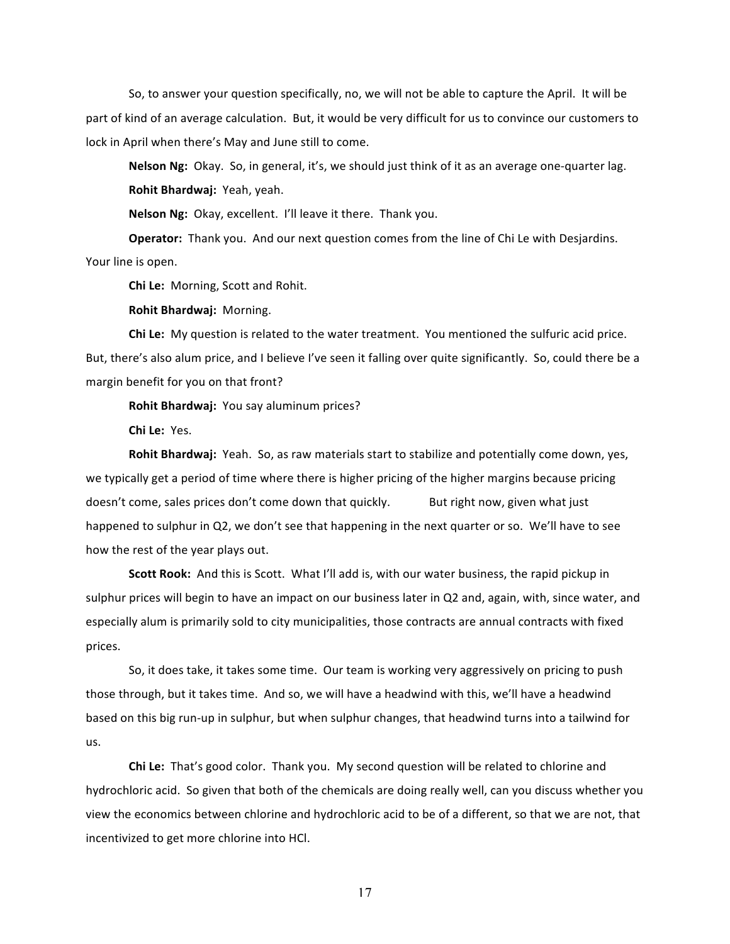So, to answer your question specifically, no, we will not be able to capture the April. It will be part of kind of an average calculation. But, it would be very difficult for us to convince our customers to lock in April when there's May and June still to come.

**Nelson Ng:** Okay. So, in general, it's, we should just think of it as an average one-quarter lag. **Rohit Bhardwaj: Yeah, yeah.** 

**Nelson Ng:** Okay, excellent. I'll leave it there. Thank you.

**Operator:** Thank you. And our next question comes from the line of Chi Le with Desjardins. Your line is open.

**Chi Le:** Morning, Scott and Rohit.

**Rohit Bhardwaj: Morning.** 

**Chi Le:** My question is related to the water treatment. You mentioned the sulfuric acid price. But, there's also alum price, and I believe I've seen it falling over quite significantly. So, could there be a margin benefit for you on that front?

**Rohit Bhardwaj:** You say aluminum prices?

**Chi Le:** Yes.

**Rohit Bhardwaj:** Yeah. So, as raw materials start to stabilize and potentially come down, yes, we typically get a period of time where there is higher pricing of the higher margins because pricing doesn't come, sales prices don't come down that quickly. But right now, given what just happened to sulphur in Q2, we don't see that happening in the next quarter or so. We'll have to see how the rest of the year plays out.

**Scott Rook:** And this is Scott. What I'll add is, with our water business, the rapid pickup in sulphur prices will begin to have an impact on our business later in Q2 and, again, with, since water, and especially alum is primarily sold to city municipalities, those contracts are annual contracts with fixed prices.

So, it does take, it takes some time. Our team is working very aggressively on pricing to push those through, but it takes time. And so, we will have a headwind with this, we'll have a headwind based on this big run-up in sulphur, but when sulphur changes, that headwind turns into a tailwind for us.

**Chi Le:** That's good color. Thank you. My second question will be related to chlorine and hydrochloric acid. So given that both of the chemicals are doing really well, can you discuss whether you view the economics between chlorine and hydrochloric acid to be of a different, so that we are not, that incentivized to get more chlorine into HCl.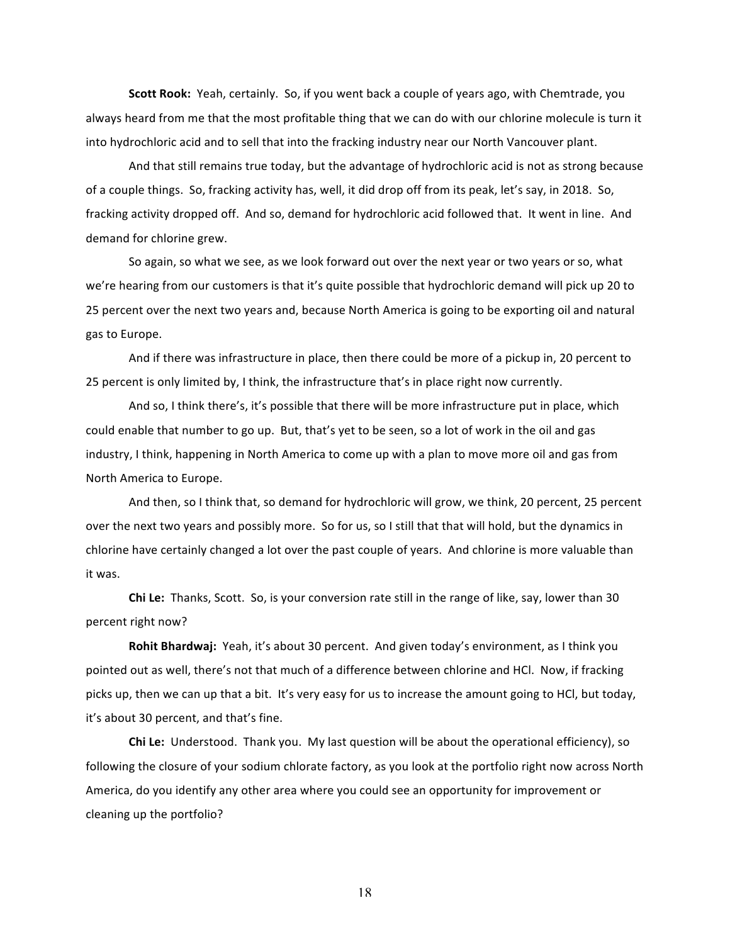**Scott Rook:** Yeah, certainly. So, if you went back a couple of years ago, with Chemtrade, you always heard from me that the most profitable thing that we can do with our chlorine molecule is turn it into hydrochloric acid and to sell that into the fracking industry near our North Vancouver plant.

And that still remains true today, but the advantage of hydrochloric acid is not as strong because of a couple things. So, fracking activity has, well, it did drop off from its peak, let's say, in 2018. So, fracking activity dropped off. And so, demand for hydrochloric acid followed that. It went in line. And demand for chlorine grew.

So again, so what we see, as we look forward out over the next year or two years or so, what we're hearing from our customers is that it's quite possible that hydrochloric demand will pick up 20 to 25 percent over the next two years and, because North America is going to be exporting oil and natural gas to Europe.

And if there was infrastructure in place, then there could be more of a pickup in, 20 percent to 25 percent is only limited by, I think, the infrastructure that's in place right now currently.

And so, I think there's, it's possible that there will be more infrastructure put in place, which could enable that number to go up. But, that's yet to be seen, so a lot of work in the oil and gas industry, I think, happening in North America to come up with a plan to move more oil and gas from North America to Europe.

And then, so I think that, so demand for hydrochloric will grow, we think, 20 percent, 25 percent over the next two years and possibly more. So for us, so I still that that will hold, but the dynamics in chlorine have certainly changed a lot over the past couple of years. And chlorine is more valuable than it was.

**Chi Le:** Thanks, Scott. So, is your conversion rate still in the range of like, say, lower than 30 percent right now?

**Rohit Bhardwaj:** Yeah, it's about 30 percent. And given today's environment, as I think you pointed out as well, there's not that much of a difference between chlorine and HCl. Now, if fracking picks up, then we can up that a bit. It's very easy for us to increase the amount going to HCl, but today, it's about 30 percent, and that's fine.

**Chi Le:** Understood. Thank you. My last question will be about the operational efficiency), so following the closure of your sodium chlorate factory, as you look at the portfolio right now across North America, do you identify any other area where you could see an opportunity for improvement or cleaning up the portfolio?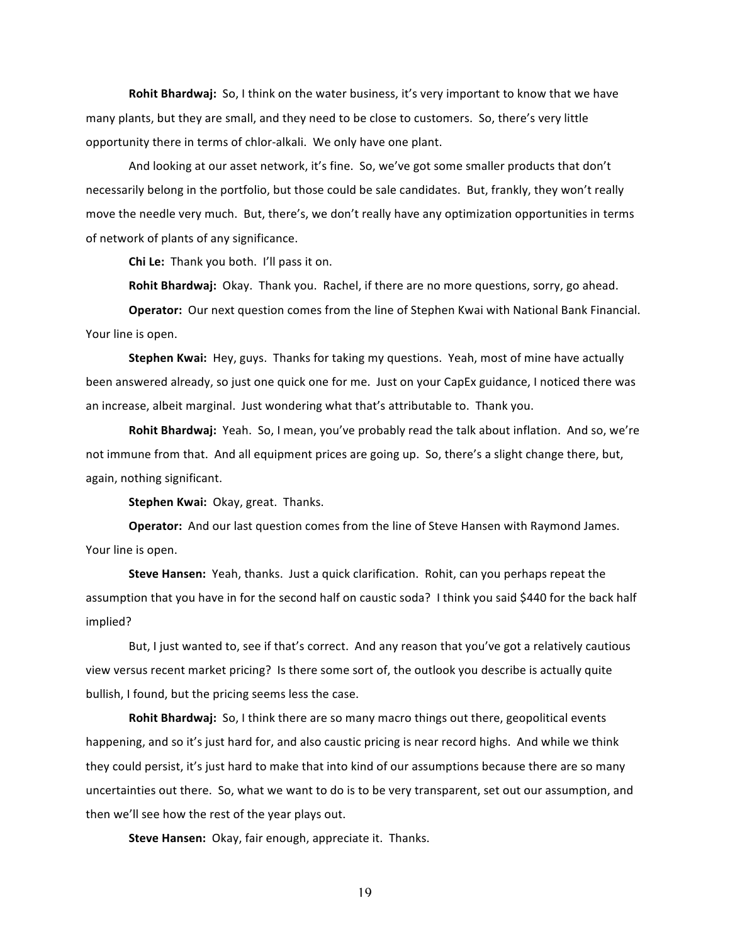**Rohit Bhardwaj:** So, I think on the water business, it's very important to know that we have many plants, but they are small, and they need to be close to customers. So, there's very little opportunity there in terms of chlor-alkali. We only have one plant.

And looking at our asset network, it's fine. So, we've got some smaller products that don't necessarily belong in the portfolio, but those could be sale candidates. But, frankly, they won't really move the needle very much. But, there's, we don't really have any optimization opportunities in terms of network of plants of any significance.

**Chi Le:** Thank you both. I'll pass it on.

**Rohit Bhardwaj:** Okay. Thank you. Rachel, if there are no more questions, sorry, go ahead.

**Operator:** Our next question comes from the line of Stephen Kwai with National Bank Financial. Your line is open.

**Stephen Kwai:** Hey, guys. Thanks for taking my questions. Yeah, most of mine have actually been answered already, so just one quick one for me. Just on your CapEx guidance, I noticed there was an increase, albeit marginal. Just wondering what that's attributable to. Thank you.

**Rohit Bhardwaj:** Yeah. So, I mean, you've probably read the talk about inflation. And so, we're not immune from that. And all equipment prices are going up. So, there's a slight change there, but, again, nothing significant.

**Stephen Kwai: Okay, great. Thanks.** 

**Operator:** And our last question comes from the line of Steve Hansen with Raymond James. Your line is open.

**Steve Hansen:** Yeah, thanks. Just a quick clarification. Rohit, can you perhaps repeat the assumption that you have in for the second half on caustic soda? I think you said \$440 for the back half implied?

But, I just wanted to, see if that's correct. And any reason that you've got a relatively cautious view versus recent market pricing? Is there some sort of, the outlook you describe is actually quite bullish, I found, but the pricing seems less the case.

**Rohit Bhardwaj:** So, I think there are so many macro things out there, geopolitical events happening, and so it's just hard for, and also caustic pricing is near record highs. And while we think they could persist, it's just hard to make that into kind of our assumptions because there are so many uncertainties out there. So, what we want to do is to be very transparent, set out our assumption, and then we'll see how the rest of the year plays out.

**Steve Hansen:** Okay, fair enough, appreciate it. Thanks.